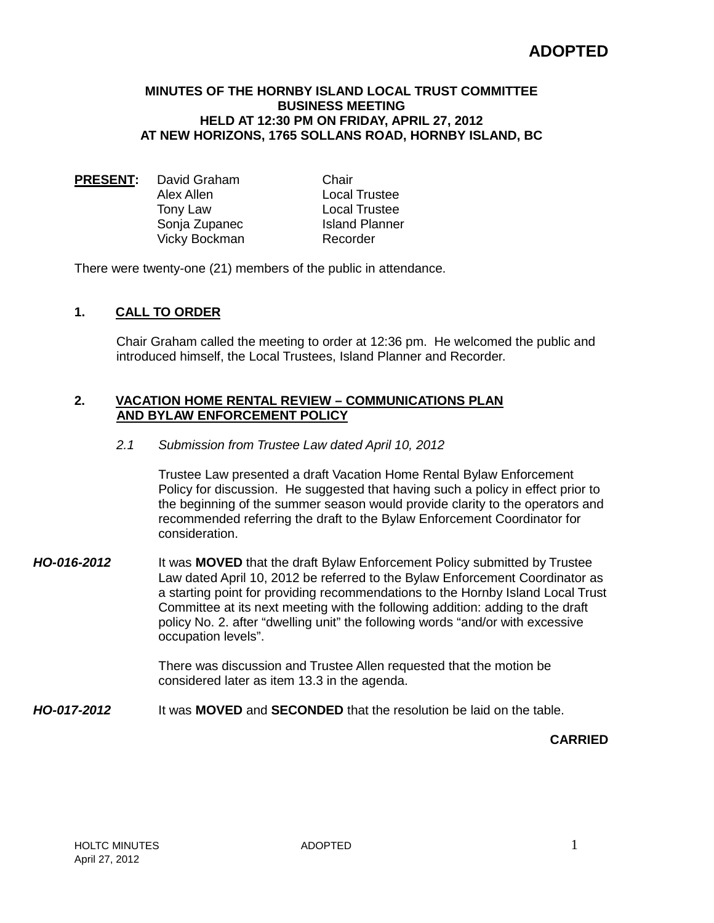# **ADOPTED**

#### **MINUTES OF THE HORNBY ISLAND LOCAL TRUST COMMITTEE BUSINESS MEETING HELD AT 12:30 PM ON FRIDAY, APRIL 27, 2012 AT NEW HORIZONS, 1765 SOLLANS ROAD, HORNBY ISLAND, BC**

**PRESENT:** David Graham Chair Alex Allen Local Trustee Tony Law **Local Trustee**<br>
Sonia Zupanec **Configure** Island Planner Sonja Zupanec<br>
Vicky Bockman<br>
Vicky Bockman<br>
In Recorder Vicky Bockman

There were twenty-one (21) members of the public in attendance.

# **1. CALL TO ORDER**

Chair Graham called the meeting to order at 12:36 pm. He welcomed the public and introduced himself, the Local Trustees, Island Planner and Recorder.

#### **2. VACATION HOME RENTAL REVIEW – COMMUNICATIONS PLAN AND BYLAW ENFORCEMENT POLICY**

#### *2.1 Submission from Trustee Law dated April 10, 2012*

Trustee Law presented a draft Vacation Home Rental Bylaw Enforcement Policy for discussion. He suggested that having such a policy in effect prior to the beginning of the summer season would provide clarity to the operators and recommended referring the draft to the Bylaw Enforcement Coordinator for consideration.

*HO-016-2012* It was **MOVED** that the draft Bylaw Enforcement Policy submitted by Trustee Law dated April 10, 2012 be referred to the Bylaw Enforcement Coordinator as a starting point for providing recommendations to the Hornby Island Local Trust Committee at its next meeting with the following addition: adding to the draft policy No. 2. after "dwelling unit" the following words "and/or with excessive occupation levels".

> There was discussion and Trustee Allen requested that the motion be considered later as item 13.3 in the agenda.

*HO-017-2012* It was **MOVED** and **SECONDED** that the resolution be laid on the table.

**CARRIED**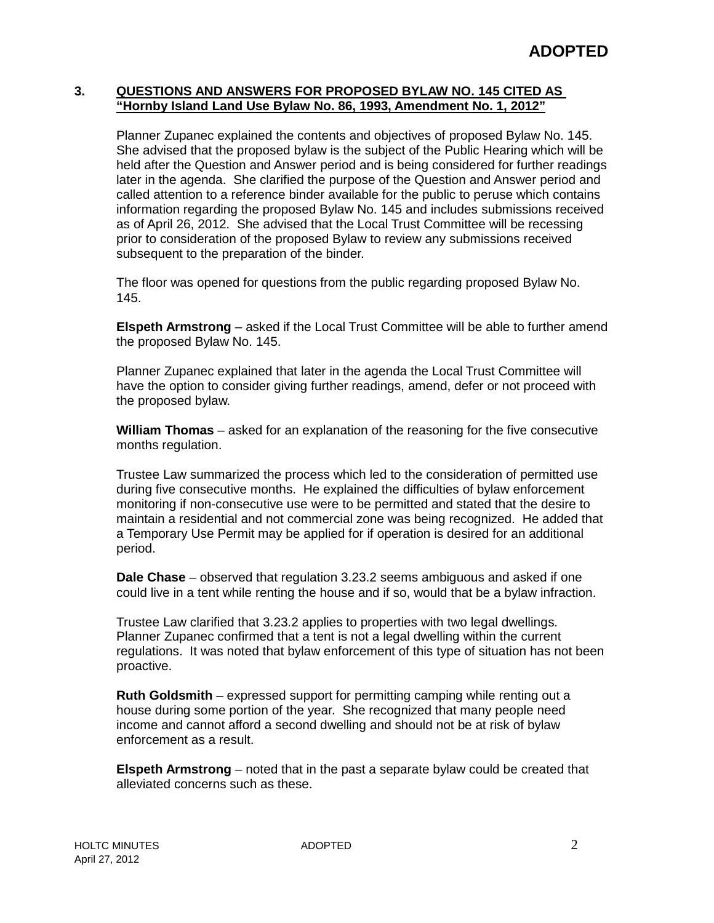#### **3. QUESTIONS AND ANSWERS FOR PROPOSED BYLAW NO. 145 CITED AS "Hornby Island Land Use Bylaw No. 86, 1993, Amendment No. 1, 2012"**

Planner Zupanec explained the contents and objectives of proposed Bylaw No. 145. She advised that the proposed bylaw is the subject of the Public Hearing which will be held after the Question and Answer period and is being considered for further readings later in the agenda. She clarified the purpose of the Question and Answer period and called attention to a reference binder available for the public to peruse which contains information regarding the proposed Bylaw No. 145 and includes submissions received as of April 26, 2012. She advised that the Local Trust Committee will be recessing prior to consideration of the proposed Bylaw to review any submissions received subsequent to the preparation of the binder.

The floor was opened for questions from the public regarding proposed Bylaw No. 145.

**Elspeth Armstrong** – asked if the Local Trust Committee will be able to further amend the proposed Bylaw No. 145.

Planner Zupanec explained that later in the agenda the Local Trust Committee will have the option to consider giving further readings, amend, defer or not proceed with the proposed bylaw.

**William Thomas** – asked for an explanation of the reasoning for the five consecutive months regulation.

Trustee Law summarized the process which led to the consideration of permitted use during five consecutive months. He explained the difficulties of bylaw enforcement monitoring if non-consecutive use were to be permitted and stated that the desire to maintain a residential and not commercial zone was being recognized. He added that a Temporary Use Permit may be applied for if operation is desired for an additional period.

**Dale Chase** – observed that regulation 3.23.2 seems ambiguous and asked if one could live in a tent while renting the house and if so, would that be a bylaw infraction.

Trustee Law clarified that 3.23.2 applies to properties with two legal dwellings. Planner Zupanec confirmed that a tent is not a legal dwelling within the current regulations. It was noted that bylaw enforcement of this type of situation has not been proactive.

**Ruth Goldsmith** – expressed support for permitting camping while renting out a house during some portion of the year. She recognized that many people need income and cannot afford a second dwelling and should not be at risk of bylaw enforcement as a result.

**Elspeth Armstrong** – noted that in the past a separate bylaw could be created that alleviated concerns such as these.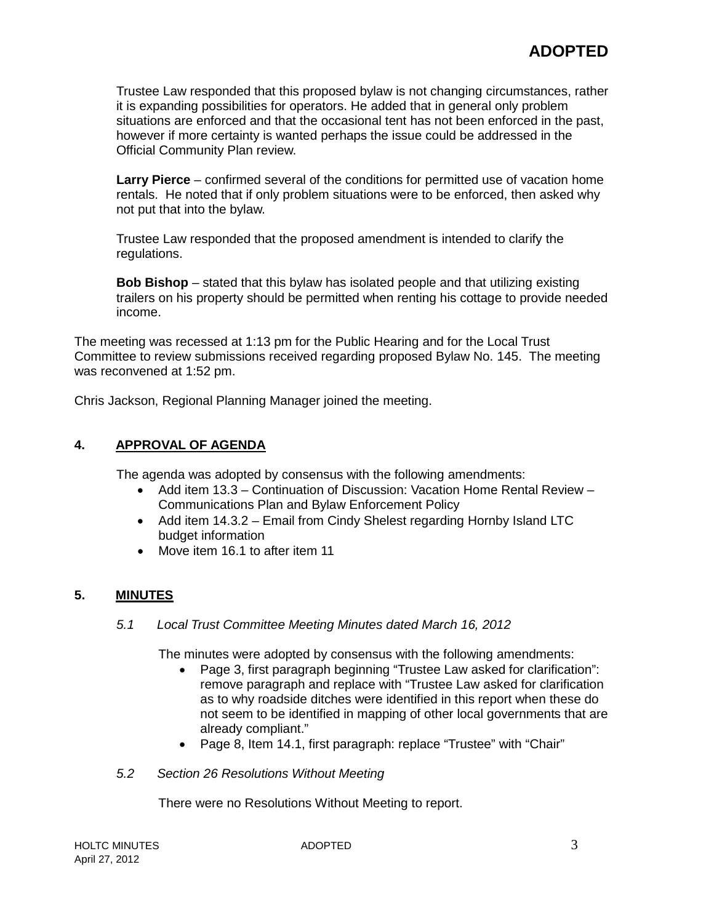Trustee Law responded that this proposed bylaw is not changing circumstances, rather it is expanding possibilities for operators. He added that in general only problem situations are enforced and that the occasional tent has not been enforced in the past, however if more certainty is wanted perhaps the issue could be addressed in the Official Community Plan review.

**Larry Pierce** – confirmed several of the conditions for permitted use of vacation home rentals. He noted that if only problem situations were to be enforced, then asked why not put that into the bylaw.

Trustee Law responded that the proposed amendment is intended to clarify the regulations.

**Bob Bishop** – stated that this bylaw has isolated people and that utilizing existing trailers on his property should be permitted when renting his cottage to provide needed income.

The meeting was recessed at 1:13 pm for the Public Hearing and for the Local Trust Committee to review submissions received regarding proposed Bylaw No. 145. The meeting was reconvened at 1:52 pm.

Chris Jackson, Regional Planning Manager joined the meeting.

# **4. APPROVAL OF AGENDA**

The agenda was adopted by consensus with the following amendments:

- Add item 13.3 Continuation of Discussion: Vacation Home Rental Review Communications Plan and Bylaw Enforcement Policy
- Add item 14.3.2 Email from Cindy Shelest regarding Hornby Island LTC budget information
- Move item 16.1 to after item 11

# **5. MINUTES**

*5.1 Local Trust Committee Meeting Minutes dated March 16, 2012*

The minutes were adopted by consensus with the following amendments:

- Page 3, first paragraph beginning "Trustee Law asked for clarification": remove paragraph and replace with "Trustee Law asked for clarification as to why roadside ditches were identified in this report when these do not seem to be identified in mapping of other local governments that are already compliant."
- Page 8, Item 14.1, first paragraph: replace "Trustee" with "Chair"
- *5.2 Section 26 Resolutions Without Meeting*

There were no Resolutions Without Meeting to report.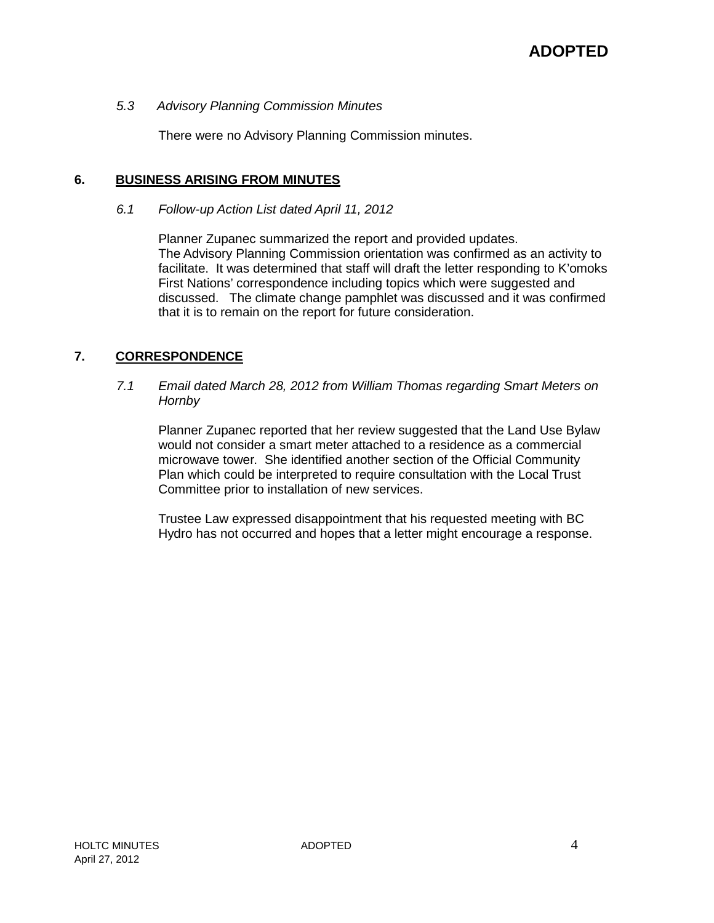#### *5.3 Advisory Planning Commission Minutes*

There were no Advisory Planning Commission minutes.

#### **6. BUSINESS ARISING FROM MINUTES**

#### *6.1 Follow-up Action List dated April 11, 2012*

Planner Zupanec summarized the report and provided updates. The Advisory Planning Commission orientation was confirmed as an activity to facilitate. It was determined that staff will draft the letter responding to K'omoks First Nations' correspondence including topics which were suggested and discussed. The climate change pamphlet was discussed and it was confirmed that it is to remain on the report for future consideration.

#### **7. CORRESPONDENCE**

#### *7.1 Email dated March 28, 2012 from William Thomas regarding Smart Meters on Hornby*

Planner Zupanec reported that her review suggested that the Land Use Bylaw would not consider a smart meter attached to a residence as a commercial microwave tower. She identified another section of the Official Community Plan which could be interpreted to require consultation with the Local Trust Committee prior to installation of new services.

Trustee Law expressed disappointment that his requested meeting with BC Hydro has not occurred and hopes that a letter might encourage a response.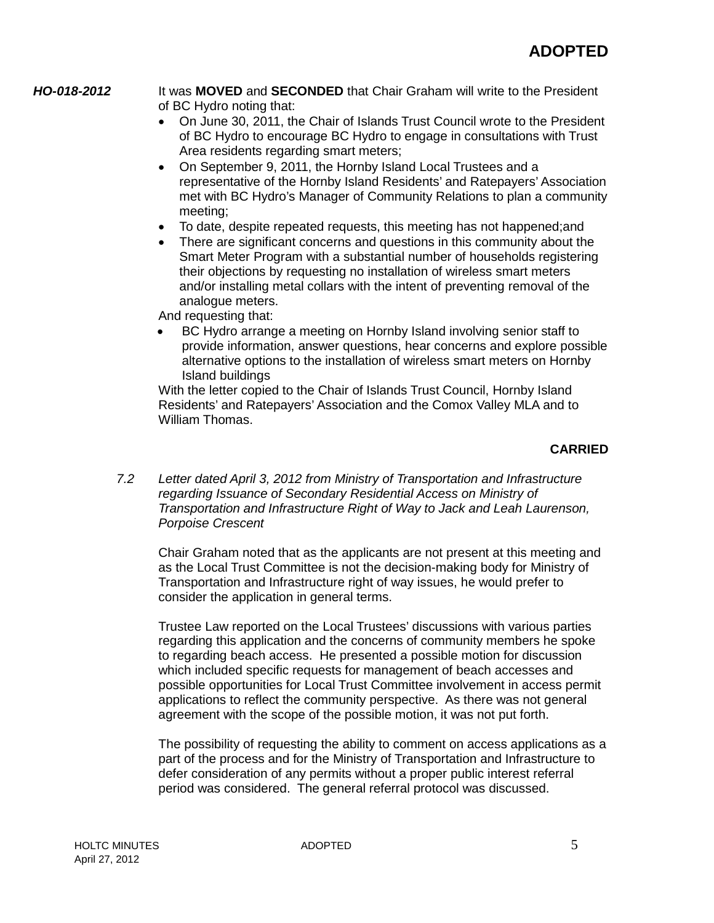*HO-018-2012* It was **MOVED** and **SECONDED** that Chair Graham will write to the President of BC Hydro noting that:

- On June 30, 2011, the Chair of Islands Trust Council wrote to the President of BC Hydro to encourage BC Hydro to engage in consultations with Trust Area residents regarding smart meters;
- On September 9, 2011, the Hornby Island Local Trustees and a representative of the Hornby Island Residents' and Ratepayers' Association met with BC Hydro's Manager of Community Relations to plan a community meeting;
- To date, despite repeated requests, this meeting has not happened;and
- There are significant concerns and questions in this community about the Smart Meter Program with a substantial number of households registering their objections by requesting no installation of wireless smart meters and/or installing metal collars with the intent of preventing removal of the analogue meters.

And requesting that:

• BC Hydro arrange a meeting on Hornby Island involving senior staff to provide information, answer questions, hear concerns and explore possible alternative options to the installation of wireless smart meters on Hornby Island buildings

With the letter copied to the Chair of Islands Trust Council, Hornby Island Residents' and Ratepayers' Association and the Comox Valley MLA and to William Thomas.

# **CARRIED**

*7.2 Letter dated April 3, 2012 from Ministry of Transportation and Infrastructure regarding Issuance of Secondary Residential Access on Ministry of Transportation and Infrastructure Right of Way to Jack and Leah Laurenson, Porpoise Crescent*

Chair Graham noted that as the applicants are not present at this meeting and as the Local Trust Committee is not the decision-making body for Ministry of Transportation and Infrastructure right of way issues, he would prefer to consider the application in general terms.

Trustee Law reported on the Local Trustees' discussions with various parties regarding this application and the concerns of community members he spoke to regarding beach access. He presented a possible motion for discussion which included specific requests for management of beach accesses and possible opportunities for Local Trust Committee involvement in access permit applications to reflect the community perspective. As there was not general agreement with the scope of the possible motion, it was not put forth.

The possibility of requesting the ability to comment on access applications as a part of the process and for the Ministry of Transportation and Infrastructure to defer consideration of any permits without a proper public interest referral period was considered. The general referral protocol was discussed.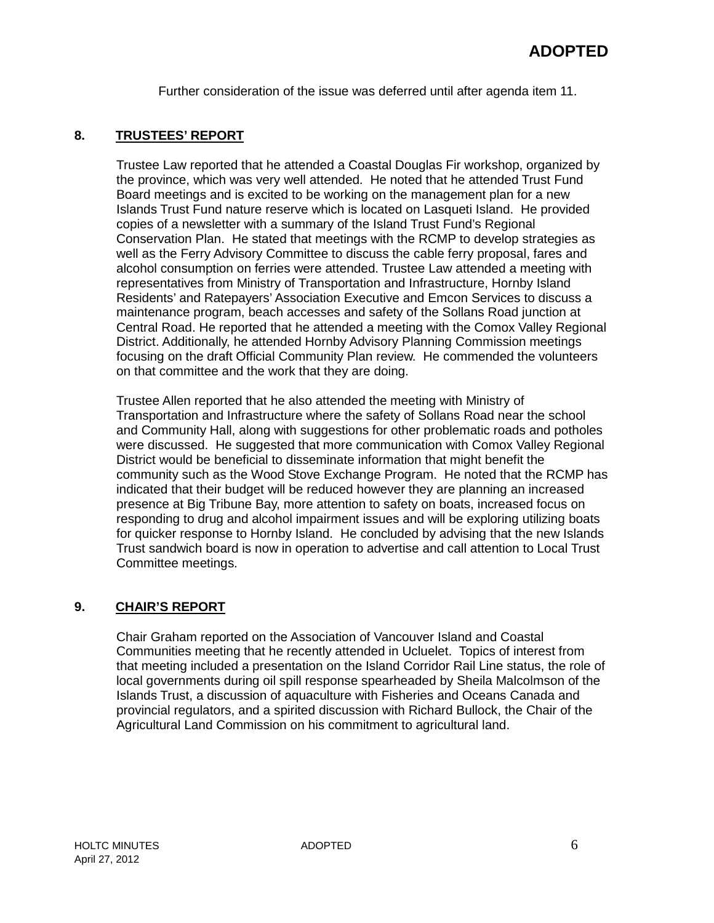Further consideration of the issue was deferred until after agenda item 11.

# **8. TRUSTEES' REPORT**

Trustee Law reported that he attended a Coastal Douglas Fir workshop, organized by the province, which was very well attended. He noted that he attended Trust Fund Board meetings and is excited to be working on the management plan for a new Islands Trust Fund nature reserve which is located on Lasqueti Island. He provided copies of a newsletter with a summary of the Island Trust Fund's Regional Conservation Plan. He stated that meetings with the RCMP to develop strategies as well as the Ferry Advisory Committee to discuss the cable ferry proposal, fares and alcohol consumption on ferries were attended. Trustee Law attended a meeting with representatives from Ministry of Transportation and Infrastructure, Hornby Island Residents' and Ratepayers' Association Executive and Emcon Services to discuss a maintenance program, beach accesses and safety of the Sollans Road junction at Central Road. He reported that he attended a meeting with the Comox Valley Regional District. Additionally, he attended Hornby Advisory Planning Commission meetings focusing on the draft Official Community Plan review. He commended the volunteers on that committee and the work that they are doing.

Trustee Allen reported that he also attended the meeting with Ministry of Transportation and Infrastructure where the safety of Sollans Road near the school and Community Hall, along with suggestions for other problematic roads and potholes were discussed. He suggested that more communication with Comox Valley Regional District would be beneficial to disseminate information that might benefit the community such as the Wood Stove Exchange Program. He noted that the RCMP has indicated that their budget will be reduced however they are planning an increased presence at Big Tribune Bay, more attention to safety on boats, increased focus on responding to drug and alcohol impairment issues and will be exploring utilizing boats for quicker response to Hornby Island. He concluded by advising that the new Islands Trust sandwich board is now in operation to advertise and call attention to Local Trust Committee meetings.

#### **9. CHAIR'S REPORT**

Chair Graham reported on the Association of Vancouver Island and Coastal Communities meeting that he recently attended in Ucluelet. Topics of interest from that meeting included a presentation on the Island Corridor Rail Line status, the role of local governments during oil spill response spearheaded by Sheila Malcolmson of the Islands Trust, a discussion of aquaculture with Fisheries and Oceans Canada and provincial regulators, and a spirited discussion with Richard Bullock, the Chair of the Agricultural Land Commission on his commitment to agricultural land.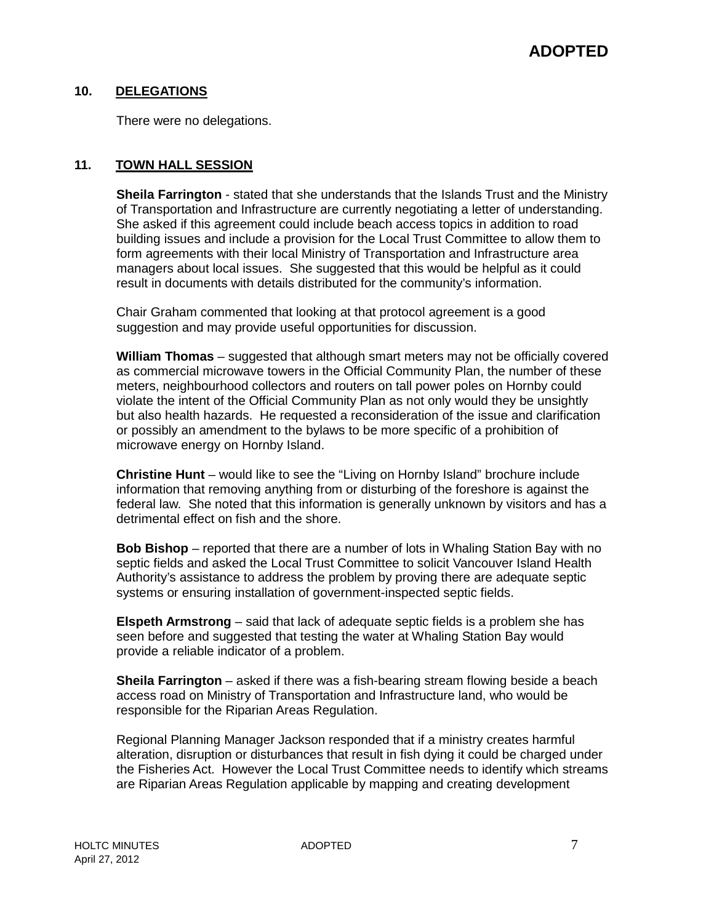# **10. DELEGATIONS**

There were no delegations.

#### **11. TOWN HALL SESSION**

**Sheila Farrington** - stated that she understands that the Islands Trust and the Ministry of Transportation and Infrastructure are currently negotiating a letter of understanding. She asked if this agreement could include beach access topics in addition to road building issues and include a provision for the Local Trust Committee to allow them to form agreements with their local Ministry of Transportation and Infrastructure area managers about local issues. She suggested that this would be helpful as it could result in documents with details distributed for the community's information.

Chair Graham commented that looking at that protocol agreement is a good suggestion and may provide useful opportunities for discussion.

**William Thomas** – suggested that although smart meters may not be officially covered as commercial microwave towers in the Official Community Plan, the number of these meters, neighbourhood collectors and routers on tall power poles on Hornby could violate the intent of the Official Community Plan as not only would they be unsightly but also health hazards. He requested a reconsideration of the issue and clarification or possibly an amendment to the bylaws to be more specific of a prohibition of microwave energy on Hornby Island.

**Christine Hunt** – would like to see the "Living on Hornby Island" brochure include information that removing anything from or disturbing of the foreshore is against the federal law. She noted that this information is generally unknown by visitors and has a detrimental effect on fish and the shore.

**Bob Bishop** – reported that there are a number of lots in Whaling Station Bay with no septic fields and asked the Local Trust Committee to solicit Vancouver Island Health Authority's assistance to address the problem by proving there are adequate septic systems or ensuring installation of government-inspected septic fields.

**Elspeth Armstrong** – said that lack of adequate septic fields is a problem she has seen before and suggested that testing the water at Whaling Station Bay would provide a reliable indicator of a problem.

**Sheila Farrington** – asked if there was a fish-bearing stream flowing beside a beach access road on Ministry of Transportation and Infrastructure land, who would be responsible for the Riparian Areas Regulation.

Regional Planning Manager Jackson responded that if a ministry creates harmful alteration, disruption or disturbances that result in fish dying it could be charged under the Fisheries Act. However the Local Trust Committee needs to identify which streams are Riparian Areas Regulation applicable by mapping and creating development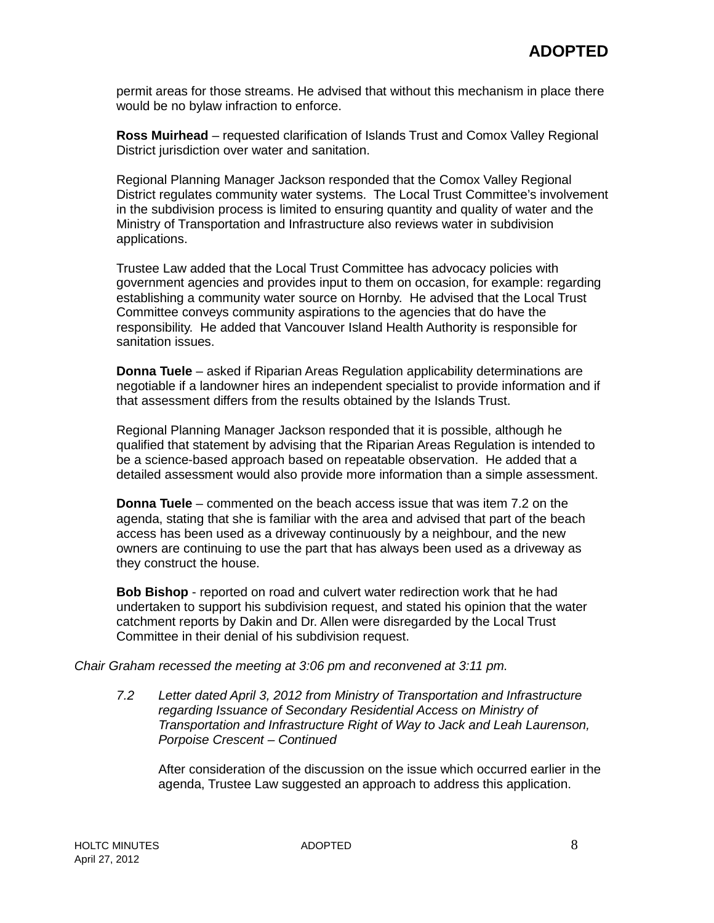permit areas for those streams. He advised that without this mechanism in place there would be no bylaw infraction to enforce.

**Ross Muirhead** – requested clarification of Islands Trust and Comox Valley Regional District jurisdiction over water and sanitation.

Regional Planning Manager Jackson responded that the Comox Valley Regional District regulates community water systems. The Local Trust Committee's involvement in the subdivision process is limited to ensuring quantity and quality of water and the Ministry of Transportation and Infrastructure also reviews water in subdivision applications.

Trustee Law added that the Local Trust Committee has advocacy policies with government agencies and provides input to them on occasion, for example: regarding establishing a community water source on Hornby. He advised that the Local Trust Committee conveys community aspirations to the agencies that do have the responsibility. He added that Vancouver Island Health Authority is responsible for sanitation issues.

**Donna Tuele** – asked if Riparian Areas Regulation applicability determinations are negotiable if a landowner hires an independent specialist to provide information and if that assessment differs from the results obtained by the Islands Trust.

Regional Planning Manager Jackson responded that it is possible, although he qualified that statement by advising that the Riparian Areas Regulation is intended to be a science-based approach based on repeatable observation. He added that a detailed assessment would also provide more information than a simple assessment.

**Donna Tuele** – commented on the beach access issue that was item 7.2 on the agenda, stating that she is familiar with the area and advised that part of the beach access has been used as a driveway continuously by a neighbour, and the new owners are continuing to use the part that has always been used as a driveway as they construct the house.

**Bob Bishop** - reported on road and culvert water redirection work that he had undertaken to support his subdivision request, and stated his opinion that the water catchment reports by Dakin and Dr. Allen were disregarded by the Local Trust Committee in their denial of his subdivision request.

*Chair Graham recessed the meeting at 3:06 pm and reconvened at 3:11 pm.*

*7.2 Letter dated April 3, 2012 from Ministry of Transportation and Infrastructure regarding Issuance of Secondary Residential Access on Ministry of Transportation and Infrastructure Right of Way to Jack and Leah Laurenson, Porpoise Crescent – Continued*

After consideration of the discussion on the issue which occurred earlier in the agenda, Trustee Law suggested an approach to address this application.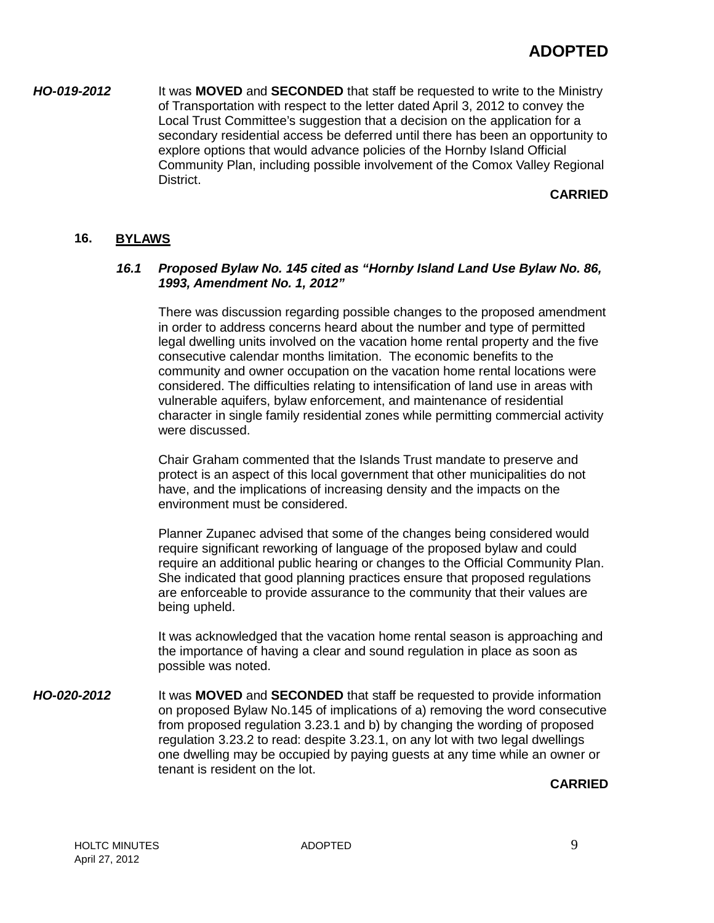*HO-019-2012* It was **MOVED** and **SECONDED** that staff be requested to write to the Ministry of Transportation with respect to the letter dated April 3, 2012 to convey the Local Trust Committee's suggestion that a decision on the application for a secondary residential access be deferred until there has been an opportunity to explore options that would advance policies of the Hornby Island Official Community Plan, including possible involvement of the Comox Valley Regional District.

# **CARRIED**

#### **16. BYLAWS**

#### *16.1 Proposed Bylaw No. 145 cited as "Hornby Island Land Use Bylaw No. 86, 1993, Amendment No. 1, 2012"*

There was discussion regarding possible changes to the proposed amendment in order to address concerns heard about the number and type of permitted legal dwelling units involved on the vacation home rental property and the five consecutive calendar months limitation. The economic benefits to the community and owner occupation on the vacation home rental locations were considered. The difficulties relating to intensification of land use in areas with vulnerable aquifers, bylaw enforcement, and maintenance of residential character in single family residential zones while permitting commercial activity were discussed.

Chair Graham commented that the Islands Trust mandate to preserve and protect is an aspect of this local government that other municipalities do not have, and the implications of increasing density and the impacts on the environment must be considered.

Planner Zupanec advised that some of the changes being considered would require significant reworking of language of the proposed bylaw and could require an additional public hearing or changes to the Official Community Plan. She indicated that good planning practices ensure that proposed regulations are enforceable to provide assurance to the community that their values are being upheld.

It was acknowledged that the vacation home rental season is approaching and the importance of having a clear and sound regulation in place as soon as possible was noted.

*HO-020-2012* It was **MOVED** and **SECONDED** that staff be requested to provide information on proposed Bylaw No.145 of implications of a) removing the word consecutive from proposed regulation 3.23.1 and b) by changing the wording of proposed regulation 3.23.2 to read: despite 3.23.1, on any lot with two legal dwellings one dwelling may be occupied by paying guests at any time while an owner or tenant is resident on the lot.

**CARRIED**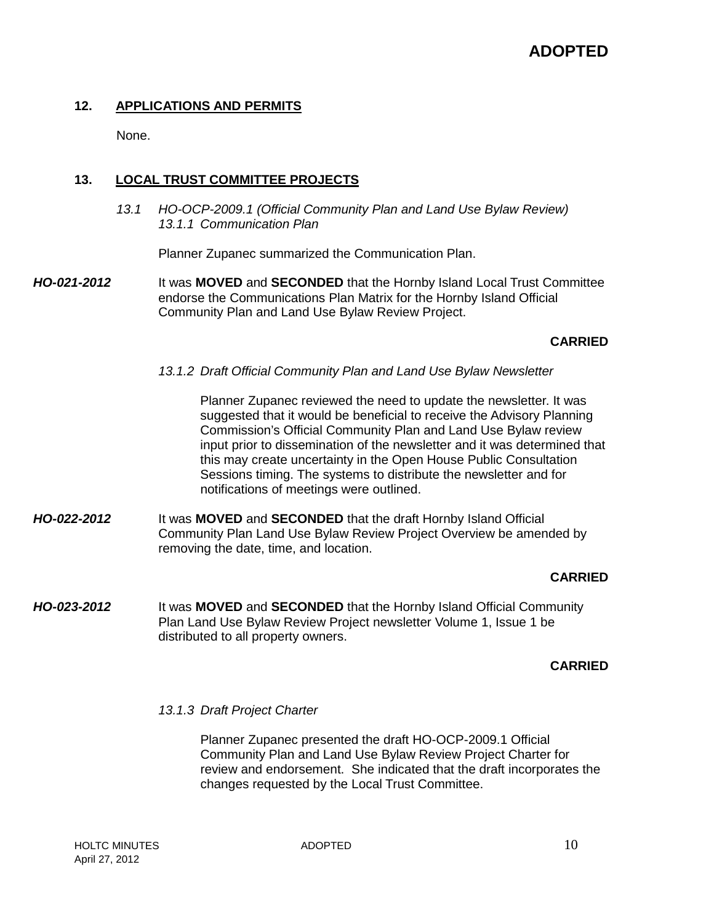# **12. APPLICATIONS AND PERMITS**

None.

# **13. LOCAL TRUST COMMITTEE PROJECTS**

*13.1 HO-OCP-2009.1 (Official Community Plan and Land Use Bylaw Review) 13.1.1 Communication Plan*

Planner Zupanec summarized the Communication Plan.

*HO-021-2012* It was **MOVED** and **SECONDED** that the Hornby Island Local Trust Committee endorse the Communications Plan Matrix for the Hornby Island Official Community Plan and Land Use Bylaw Review Project.

# **CARRIED**

*13.1.2 Draft Official Community Plan and Land Use Bylaw Newsletter*

Planner Zupanec reviewed the need to update the newsletter. It was suggested that it would be beneficial to receive the Advisory Planning Commission's Official Community Plan and Land Use Bylaw review input prior to dissemination of the newsletter and it was determined that this may create uncertainty in the Open House Public Consultation Sessions timing. The systems to distribute the newsletter and for notifications of meetings were outlined.

*HO-022-2012* It was **MOVED** and **SECONDED** that the draft Hornby Island Official Community Plan Land Use Bylaw Review Project Overview be amended by removing the date, time, and location.

#### **CARRIED**

*HO-023-2012* It was **MOVED** and **SECONDED** that the Hornby Island Official Community Plan Land Use Bylaw Review Project newsletter Volume 1, Issue 1 be distributed to all property owners.

#### **CARRIED**

#### *13.1.3 Draft Project Charter*

Planner Zupanec presented the draft HO-OCP-2009.1 Official Community Plan and Land Use Bylaw Review Project Charter for review and endorsement. She indicated that the draft incorporates the changes requested by the Local Trust Committee.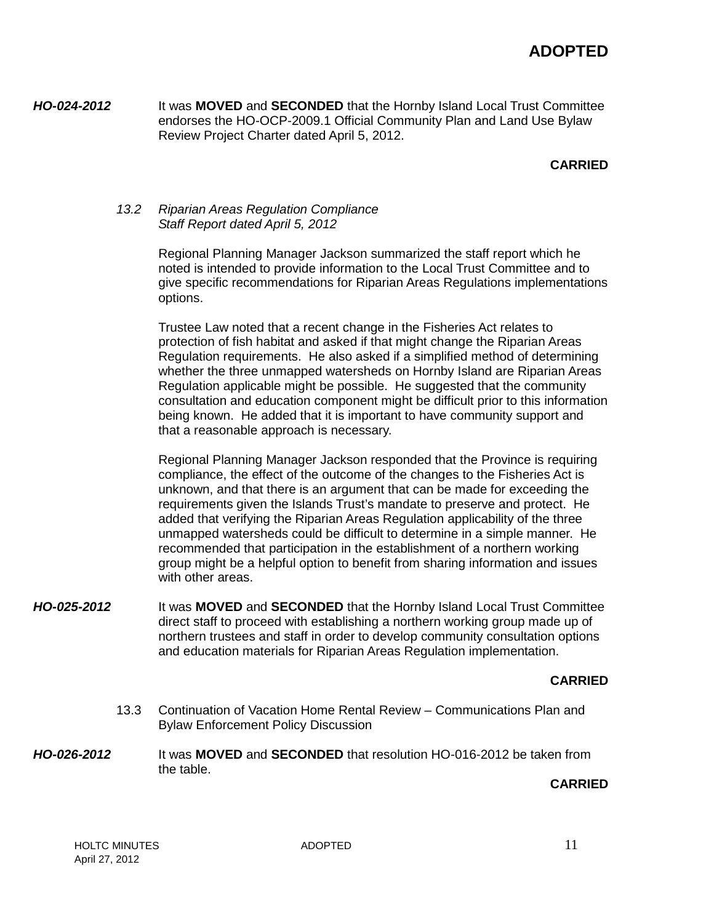*HO-024-2012* It was **MOVED** and **SECONDED** that the Hornby Island Local Trust Committee endorses the HO-OCP-2009.1 Official Community Plan and Land Use Bylaw Review Project Charter dated April 5, 2012.

# **CARRIED**

#### *13.2 Riparian Areas Regulation Compliance Staff Report dated April 5, 2012*

Regional Planning Manager Jackson summarized the staff report which he noted is intended to provide information to the Local Trust Committee and to give specific recommendations for Riparian Areas Regulations implementations options.

Trustee Law noted that a recent change in the Fisheries Act relates to protection of fish habitat and asked if that might change the Riparian Areas Regulation requirements. He also asked if a simplified method of determining whether the three unmapped watersheds on Hornby Island are Riparian Areas Regulation applicable might be possible. He suggested that the community consultation and education component might be difficult prior to this information being known. He added that it is important to have community support and that a reasonable approach is necessary.

Regional Planning Manager Jackson responded that the Province is requiring compliance, the effect of the outcome of the changes to the Fisheries Act is unknown, and that there is an argument that can be made for exceeding the requirements given the Islands Trust's mandate to preserve and protect. He added that verifying the Riparian Areas Regulation applicability of the three unmapped watersheds could be difficult to determine in a simple manner. He recommended that participation in the establishment of a northern working group might be a helpful option to benefit from sharing information and issues with other areas.

*HO-025-2012* It was **MOVED** and **SECONDED** that the Hornby Island Local Trust Committee direct staff to proceed with establishing a northern working group made up of northern trustees and staff in order to develop community consultation options and education materials for Riparian Areas Regulation implementation.

#### **CARRIED**

- 13.3 Continuation of Vacation Home Rental Review Communications Plan and Bylaw Enforcement Policy Discussion
- *HO-026-2012* It was **MOVED** and **SECONDED** that resolution HO-016-2012 be taken from the table.

#### **CARRIED**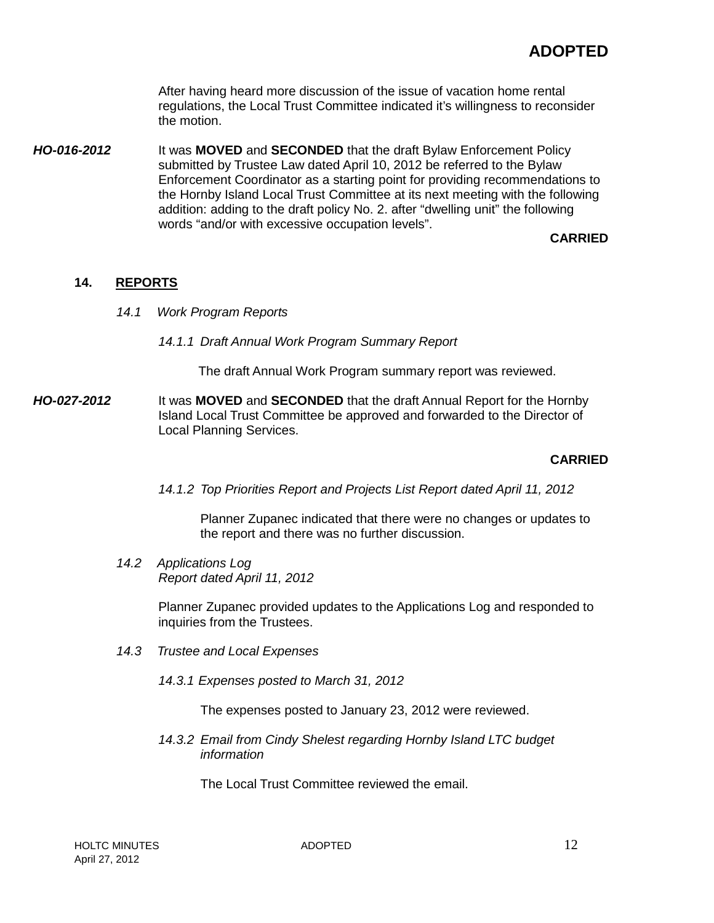After having heard more discussion of the issue of vacation home rental regulations, the Local Trust Committee indicated it's willingness to reconsider the motion.

*HO-016-2012* It was **MOVED** and **SECONDED** that the draft Bylaw Enforcement Policy submitted by Trustee Law dated April 10, 2012 be referred to the Bylaw Enforcement Coordinator as a starting point for providing recommendations to the Hornby Island Local Trust Committee at its next meeting with the following addition: adding to the draft policy No. 2. after "dwelling unit" the following words "and/or with excessive occupation levels".

# **CARRIED**

#### **14. REPORTS**

- *14.1 Work Program Reports*
	- *14.1.1 Draft Annual Work Program Summary Report*

The draft Annual Work Program summary report was reviewed.

*HO-027-2012* It was **MOVED** and **SECONDED** that the draft Annual Report for the Hornby Island Local Trust Committee be approved and forwarded to the Director of Local Planning Services.

#### **CARRIED**

*14.1.2 Top Priorities Report and Projects List Report dated April 11, 2012*

Planner Zupanec indicated that there were no changes or updates to the report and there was no further discussion.

*14.2 Applications Log Report dated April 11, 2012*

> Planner Zupanec provided updates to the Applications Log and responded to inquiries from the Trustees.

- *14.3 Trustee and Local Expenses*
	- *14.3.1 Expenses posted to March 31, 2012*

The expenses posted to January 23, 2012 were reviewed.

*14.3.2 Email from Cindy Shelest regarding Hornby Island LTC budget information*

The Local Trust Committee reviewed the email.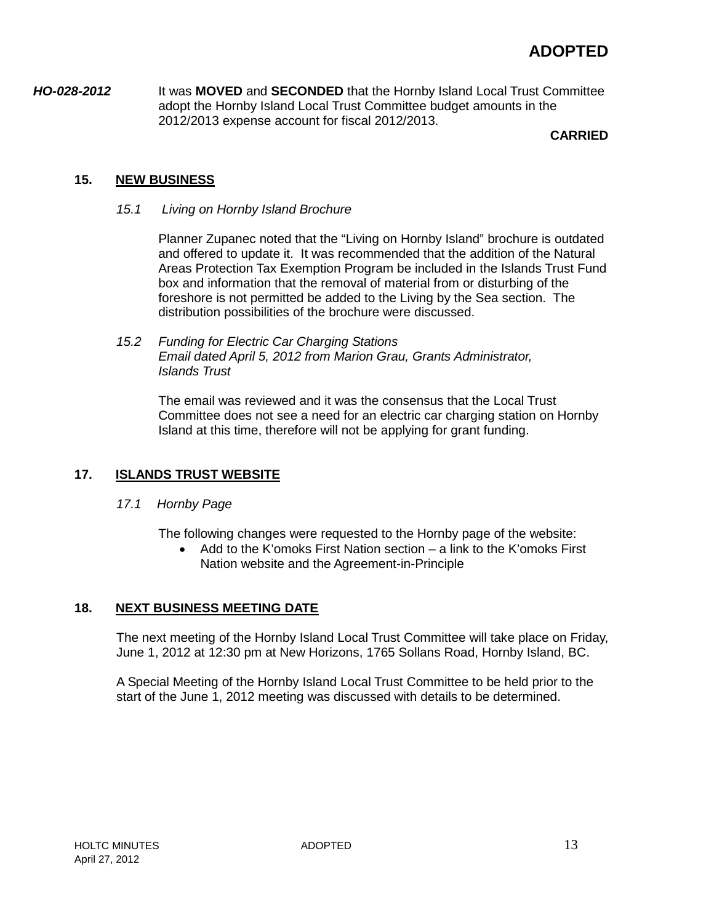# **ADOPTED**

*HO-028-2012* It was **MOVED** and **SECONDED** that the Hornby Island Local Trust Committee adopt the Hornby Island Local Trust Committee budget amounts in the 2012/2013 expense account for fiscal 2012/2013.

#### **CARRIED**

# **15. NEW BUSINESS**

*15.1 Living on Hornby Island Brochure*

Planner Zupanec noted that the "Living on Hornby Island" brochure is outdated and offered to update it. It was recommended that the addition of the Natural Areas Protection Tax Exemption Program be included in the Islands Trust Fund box and information that the removal of material from or disturbing of the foreshore is not permitted be added to the Living by the Sea section. The distribution possibilities of the brochure were discussed.

*15.2 Funding for Electric Car Charging Stations Email dated April 5, 2012 from Marion Grau, Grants Administrator, Islands Trust*

The email was reviewed and it was the consensus that the Local Trust Committee does not see a need for an electric car charging station on Hornby Island at this time, therefore will not be applying for grant funding.

# **17. ISLANDS TRUST WEBSITE**

*17.1 Hornby Page*

The following changes were requested to the Hornby page of the website:

• Add to the K'omoks First Nation section – a link to the K'omoks First Nation website and the Agreement-in-Principle

#### **18. NEXT BUSINESS MEETING DATE**

The next meeting of the Hornby Island Local Trust Committee will take place on Friday, June 1, 2012 at 12:30 pm at New Horizons, 1765 Sollans Road, Hornby Island, BC.

A Special Meeting of the Hornby Island Local Trust Committee to be held prior to the start of the June 1, 2012 meeting was discussed with details to be determined.